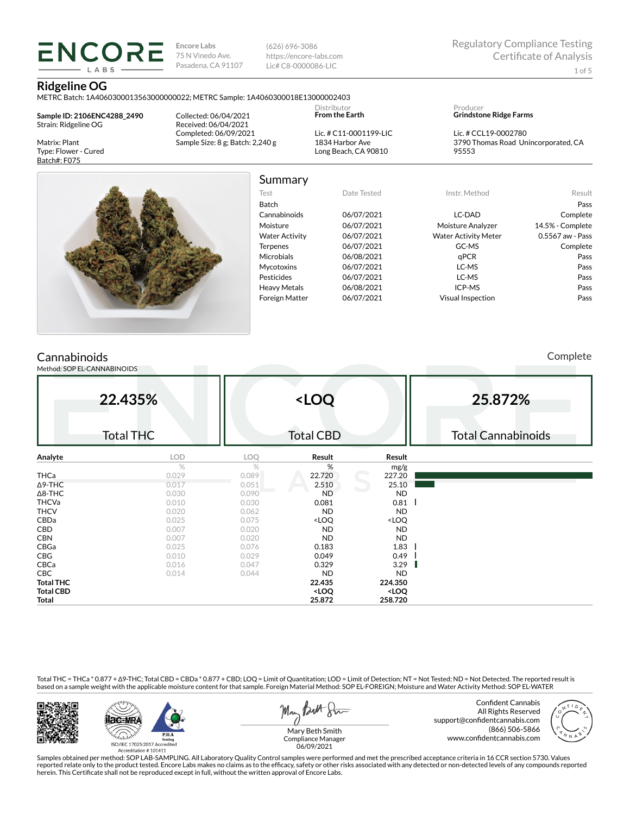(626) 696-3086 https://encore-labs.com Lic# C8-0000086-LIC

### **Ridgeline OG**

METRC Batch: 1A4060300013563000000022; METRC Sample: 1A4060300018E13000002403

**Sample ID: 2106ENC4288\_2490** Strain: Ridgeline OG

**ENCORE LARS** 

Matrix: Plant Type: Flower - Cured Batch#: F075

Collected: 06/04/2021 Received: 06/04/2021 Completed: 06/09/2021 Sample Size: 8 g; Batch: 2,240 g **From the Earth** Lic. # C11-0001199-LIC 1834 Harbor Ave Long Beach, CA 90810

Distributor

Producer **Grindstone Ridge Farms**

Lic. # CCL19-0002780 3790 Thomas Road Unincorporated, CA 95553



Summary Test Date Tested Instr. Method Result Batch Pass Cannabinoids 06/07/2021 LC-DAD Complete Moisture 06/07/2021 Moisture Analyzer 14.5% - Complete Water Activity  $06/07/2021$  Water Activity Meter 0.5567 aw - Pass Terpenes 06/07/2021 GC-MS Complete Microbials 06/08/2021 qPCR qPCR Pass Mycotoxins 06/07/2021 LC-MS Pass Pesticides 06/07/2021 LC-MS Pass Heavy Metals 06/08/2021 ICP-MS Pass

Foreign Matter 06/07/2021 Visual Inspection Pass

# Cannabinoids

Method: SOP EL-CANNABINOIDS

Complete

|                  | 22.435%<br><b>Total THC</b> |       | <loq<br><b>Total CBD</b></loq<br>                        |                              | 25.872%<br><b>Total Cannabinoids</b> |
|------------------|-----------------------------|-------|----------------------------------------------------------|------------------------------|--------------------------------------|
| Analyte          | LOD                         | LOQ   | Result                                                   | Result                       |                                      |
|                  | $\%$                        | %     | %                                                        | mg/g                         |                                      |
| <b>THCa</b>      | 0.029                       | 0.089 | 22.720                                                   | 227.20                       |                                      |
| $\Delta$ 9-THC   | 0.017                       | 0.051 | 2.510                                                    | 25.10                        |                                      |
| $\Delta$ 8-THC   | 0.030                       | 0.090 | <b>ND</b>                                                | <b>ND</b>                    |                                      |
| <b>THCVa</b>     | 0.010                       | 0.030 | 0.081                                                    | 0.81                         |                                      |
| <b>THCV</b>      | 0.020                       | 0.062 | <b>ND</b>                                                | <b>ND</b>                    |                                      |
| CBDa             | 0.025                       | 0.075 | <loq< th=""><th><loq< th=""><th></th></loq<></th></loq<> | <loq< th=""><th></th></loq<> |                                      |
| CBD              | 0.007                       | 0.020 | <b>ND</b>                                                | <b>ND</b>                    |                                      |
| <b>CBN</b>       | 0.007                       | 0.020 | <b>ND</b>                                                | <b>ND</b>                    |                                      |
| CBGa             | 0.025                       | 0.076 | 0.183                                                    | 1.83                         |                                      |
| CBG              | 0.010                       | 0.029 | 0.049                                                    | 0.49                         |                                      |
| CBCa             | 0.016                       | 0.047 | 0.329                                                    | 3.29                         |                                      |
| <b>CBC</b>       | 0.014                       | 0.044 | <b>ND</b>                                                | <b>ND</b>                    |                                      |
| <b>Total THC</b> |                             |       | 22.435                                                   | 224.350                      |                                      |
| <b>Total CBD</b> |                             |       | <loq< th=""><th><loq< th=""><th></th></loq<></th></loq<> | <loq< th=""><th></th></loq<> |                                      |
| Total            |                             |       | 25.872                                                   | 258.720                      |                                      |

Total THC = THCa \* 0.877 + ∆9-THC; Total CBD = CBDa \* 0.877 + CBD; LOQ = Limit of Quantitation; LOD = Limit of Detection; NT = Not Tested; ND = Not Detected. The reported result is based on a sample weight with the applicable moisture content for that sample. Foreign Material Method: SOP EL-FOREIGN; Moisture and Water Activity Method: SOP EL-WATER





May Both Stre

Confident Cannabis All Rights Reserved support@confidentcannabis.com (866) 506-5866 www.confidentcannabis.com



Mary Beth Smith Compliance Manager 06/09/2021

Samples obtained per method: SOP LAB-SAMPLING. All Laboratory Quality Control samples were performed and met the prescribed acceptance criteria in 16 CCR section 5730. Values reported relate only to the product tested. Encore Labs makes no claims as to the efficacy, safety or other risks associated with any detected or non-detected levels of any compounds reported<br>herein. This Certificate shall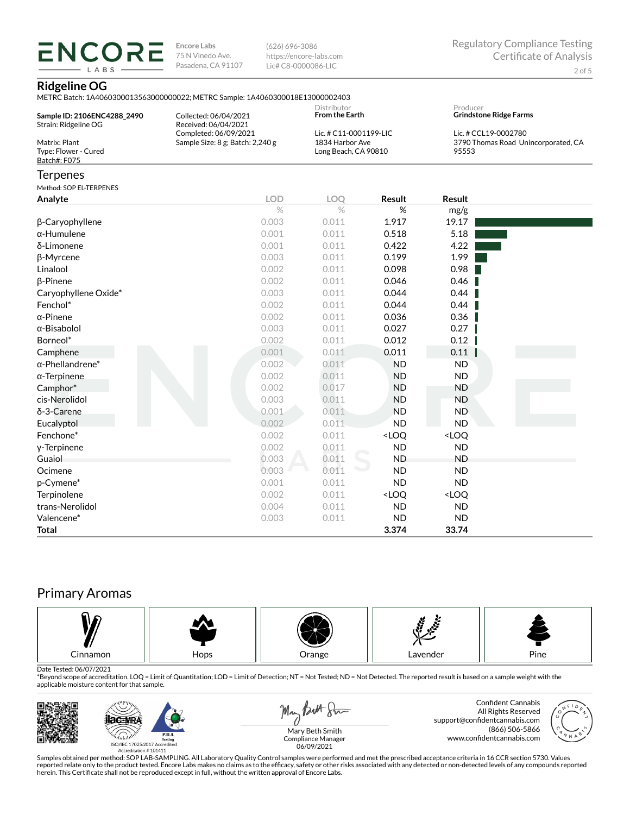(626) 696-3086 https://encore-labs.com Lic# C8-0000086-LIC

# **Ridgeline OG**

**ENCORE** LABS

|                                                       | <u>IMETRO Batch: IA4060300013363000000022; METRO Sample: IA4060300016E13000002403</u> |                                                                   |                                                          |                                                                      |  |  |
|-------------------------------------------------------|---------------------------------------------------------------------------------------|-------------------------------------------------------------------|----------------------------------------------------------|----------------------------------------------------------------------|--|--|
| Sample ID: 2106ENC4288_2490                           | Collected: 06/04/2021                                                                 | Distributor<br><b>From the Earth</b>                              |                                                          | Producer<br><b>Grindstone Ridge Farms</b>                            |  |  |
| Strain: Ridgeline OG                                  | Received: 06/04/2021                                                                  |                                                                   |                                                          |                                                                      |  |  |
| Matrix: Plant<br>Type: Flower - Cured<br>Batch#: F075 | Completed: 06/09/2021<br>Sample Size: 8 g; Batch: 2,240 g                             | Lic. # C11-0001199-LIC<br>1834 Harbor Ave<br>Long Beach, CA 90810 |                                                          | Lic. # CCL19-0002780<br>3790 Thomas Road Unincorporated, CA<br>95553 |  |  |
| <b>Terpenes</b>                                       |                                                                                       |                                                                   |                                                          |                                                                      |  |  |
| Method: SOP EL-TERPENES                               |                                                                                       |                                                                   |                                                          |                                                                      |  |  |
| Analyte                                               | <b>LOD</b>                                                                            | LOQ                                                               | <b>Result</b>                                            | <b>Result</b>                                                        |  |  |
|                                                       | $\%$                                                                                  | $\%$                                                              | %                                                        | mg/g                                                                 |  |  |
| β-Caryophyllene                                       | 0.003                                                                                 | 0.011                                                             | 1.917                                                    | 19.17                                                                |  |  |
| $\alpha$ -Humulene                                    | 0.001                                                                                 | 0.011                                                             | 0.518                                                    | 5.18                                                                 |  |  |
| δ-Limonene                                            | 0.001                                                                                 | 0.011                                                             | 0.422                                                    | 4.22                                                                 |  |  |
| β-Myrcene                                             | 0.003                                                                                 | 0.011                                                             | 0.199                                                    | 1.99                                                                 |  |  |
| Linalool                                              | 0.002                                                                                 | 0.011                                                             | 0.098                                                    | 0.98                                                                 |  |  |
| β-Pinene                                              | 0.002                                                                                 | 0.011                                                             | 0.046                                                    | 0.46                                                                 |  |  |
| Caryophyllene Oxide*                                  | 0.003                                                                                 | 0.011                                                             | 0.044                                                    | 0.44                                                                 |  |  |
| Fenchol*                                              | 0.002                                                                                 | 0.011                                                             | 0.044                                                    | 0.44                                                                 |  |  |
| $\alpha$ -Pinene                                      | 0.002                                                                                 | 0.011                                                             | 0.036                                                    | 0.36                                                                 |  |  |
| $\alpha$ -Bisabolol                                   | 0.003                                                                                 | 0.011                                                             | 0.027                                                    | 0.27                                                                 |  |  |
| Borneol*                                              | 0.002                                                                                 | 0.011                                                             | 0.012                                                    | 0.12                                                                 |  |  |
| Camphene                                              | 0.001                                                                                 | 0.011                                                             | 0.011                                                    | 0.11                                                                 |  |  |
| $\alpha$ -Phellandrene*                               | 0.002                                                                                 | 0.011                                                             | <b>ND</b>                                                | <b>ND</b>                                                            |  |  |
| $\alpha$ -Terpinene                                   | 0.002                                                                                 | 0.011                                                             | <b>ND</b>                                                | <b>ND</b>                                                            |  |  |
| Camphor*                                              | 0.002                                                                                 | 0.017                                                             | <b>ND</b>                                                | <b>ND</b>                                                            |  |  |
| cis-Nerolidol                                         | 0.003                                                                                 | 0.011                                                             | <b>ND</b>                                                | <b>ND</b>                                                            |  |  |
| $\delta$ -3-Carene                                    | 0.001                                                                                 | 0.011                                                             | <b>ND</b>                                                | <b>ND</b>                                                            |  |  |
| Eucalyptol                                            | 0.002                                                                                 | 0.011                                                             | <b>ND</b>                                                | <b>ND</b>                                                            |  |  |
| Fenchone*                                             | 0.002                                                                                 | 0.011                                                             | <loq< td=""><td><loq< td=""><td></td></loq<></td></loq<> | <loq< td=""><td></td></loq<>                                         |  |  |
| y-Terpinene                                           | 0.002                                                                                 | 0.011                                                             | <b>ND</b>                                                | <b>ND</b>                                                            |  |  |
| Guaiol                                                | 0.003                                                                                 | 0.011                                                             | <b>ND</b>                                                | <b>ND</b>                                                            |  |  |
| Ocimene                                               | 0.003                                                                                 | 0.011                                                             | <b>ND</b>                                                | <b>ND</b>                                                            |  |  |
| p-Cymene*                                             | 0.001                                                                                 | 0.011                                                             | <b>ND</b>                                                | <b>ND</b>                                                            |  |  |
| Terpinolene                                           | 0.002                                                                                 | 0.011                                                             | <loq< td=""><td><loq< td=""><td></td></loq<></td></loq<> | <loq< td=""><td></td></loq<>                                         |  |  |
| trans-Nerolidol                                       | 0.004                                                                                 | 0.011                                                             | <b>ND</b>                                                | <b>ND</b>                                                            |  |  |
| Valencene*                                            | 0.003                                                                                 | 0.011                                                             | <b>ND</b>                                                | <b>ND</b>                                                            |  |  |

# Primary Aromas



Date Tested: 06/07/2021<br>\*Beyond scope of accreditation. LOQ = Limit of Quantitation; LOD = Limit of Detection; NT = Not Tested; ND = Not Detected. The reported result is based on a sample weight with the applicable moisture content for that sample.



**Total 3.374 33.74**



Samples obtained per method: SOP LAB-SAMPLING. All Laboratory Quality Control samples were performed and met the prescribed acceptance criteria in 16 CCR section 5730. Values reported relate only to the product tested. Encore Labs makes no claims as to the efficacy, safety or other risks associated with any detected or non-detected levels of any compounds reported<br>herein. This Certificate shall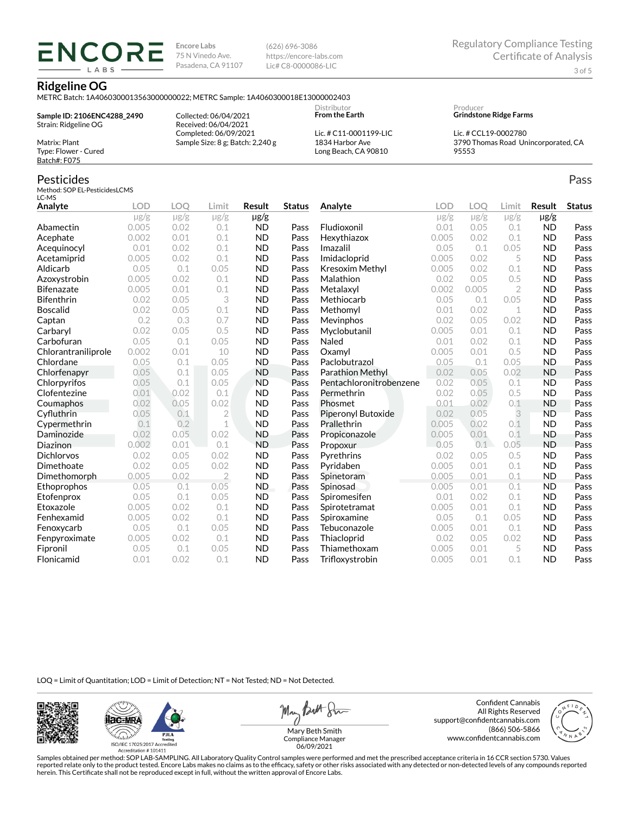(626) 696-3086 https://encore-labs.com Lic# C8-0000086-LIC

#### **Ridgeline OG**

**ENCORE** LABS

METRC Batch: 1A4060300013563000000022; METRC Sample: 1A4060300018E13000002403

**Sample ID: 2106ENC4288\_2490** Strain: Ridgeline OG Matrix: Plant

Received: 06/04/2021 Completed: 06/09/2021 Sample Size: 8 g; Batch: 2,240 g

Collected: 06/04/2021

**From the Earth** Lic. # C11-0001199-LIC 1834 Harbor Ave Long Beach, CA 90810

Distributor

Producer **Grindstone Ridge Farms**

Lic. # CCL19-0002780 3790 Thomas Road Unincorporated, CA 95553

# Batch#: F075 Pesticides

Type: Flower - Cured

Method: SOP EL-PesticidesLCMS LC-MS

| Analyte             | <b>LOD</b> | <b>LOO</b> | Limit          | Result    | <b>Status</b> | Analyte                 | <b>LOD</b> | LOO       | Limit          | Result    | <b>Status</b> |
|---------------------|------------|------------|----------------|-----------|---------------|-------------------------|------------|-----------|----------------|-----------|---------------|
|                     | $\mu$ g/g  | $\mu$ g/g  | $\mu$ g/g      | $\mu$ g/g |               |                         | $\mu$ g/g  | $\mu$ g/g | $\mu$ g/g      | $\mu$ g/g |               |
| Abamectin           | 0.005      | 0.02       | 0.1            | <b>ND</b> | Pass          | Fludioxonil             | 0.01       | 0.05      | 0.1            | <b>ND</b> | Pass          |
| Acephate            | 0.002      | 0.01       | 0.1            | <b>ND</b> | Pass          | Hexythiazox             | 0.005      | 0.02      | 0.1            | <b>ND</b> | Pass          |
| Acequinocyl         | 0.01       | 0.02       | 0.1            | <b>ND</b> | Pass          | Imazalil                | 0.05       | 0.1       | 0.05           | <b>ND</b> | Pass          |
| Acetamiprid         | 0.005      | 0.02       | 0.1            | <b>ND</b> | Pass          | Imidacloprid            | 0.005      | 0.02      | 5              | <b>ND</b> | Pass          |
| Aldicarb            | 0.05       | 0.1        | 0.05           | <b>ND</b> | Pass          | Kresoxim Methyl         | 0.005      | 0.02      | 0.1            | <b>ND</b> | Pass          |
| Azoxystrobin        | 0.005      | 0.02       | 0.1            | <b>ND</b> | Pass          | Malathion               | 0.02       | 0.05      | 0.5            | <b>ND</b> | Pass          |
| <b>Bifenazate</b>   | 0.005      | 0.01       | 0.1            | <b>ND</b> | Pass          | Metalaxyl               | 0.002      | 0.005     | $\overline{2}$ | <b>ND</b> | Pass          |
| <b>Bifenthrin</b>   | 0.02       | 0.05       | 3              | <b>ND</b> | Pass          | Methiocarb              | 0.05       | 0.1       | 0.05           | <b>ND</b> | Pass          |
| <b>Boscalid</b>     | 0.02       | 0.05       | 0.1            | <b>ND</b> | Pass          | Methomyl                | 0.01       | 0.02      | 1              | <b>ND</b> | Pass          |
| Captan              | 0.2        | 0.3        | 0.7            | <b>ND</b> | Pass          | Mevinphos               | 0.02       | 0.05      | 0.02           | <b>ND</b> | Pass          |
| Carbaryl            | 0.02       | 0.05       | 0.5            | <b>ND</b> | Pass          | Myclobutanil            | 0.005      | 0.01      | 0.1            | <b>ND</b> | Pass          |
| Carbofuran          | 0.05       | 0.1        | 0.05           | <b>ND</b> | Pass          | Naled                   | 0.01       | 0.02      | 0.1            | <b>ND</b> | Pass          |
| Chlorantraniliprole | 0.002      | 0.01       | 10             | <b>ND</b> | Pass          | Oxamyl                  | 0.005      | 0.01      | 0.5            | <b>ND</b> | Pass          |
| Chlordane           | 0.05       | 0.1        | 0.05           | <b>ND</b> | Pass          | Paclobutrazol           | 0.05       | 0.1       | 0.05           | <b>ND</b> | Pass          |
| Chlorfenapyr        | 0.05       | 0.1        | 0.05           | <b>ND</b> | Pass          | Parathion Methyl        | 0.02       | 0.05      | 0.02           | <b>ND</b> | Pass          |
| Chlorpyrifos        | 0.05       | 0.1        | 0.05           | <b>ND</b> | Pass          | Pentachloronitrobenzene | 0.02       | 0.05      | 0.1            | <b>ND</b> | Pass          |
| Clofentezine        | 0.01       | 0.02       | 0.1            | <b>ND</b> | Pass          | Permethrin              | 0.02       | 0.05      | 0.5            | <b>ND</b> | Pass          |
| Coumaphos           | 0.02       | 0.05       | 0.02           | <b>ND</b> | Pass          | Phosmet                 | 0.01       | 0.02      | 0.1            | <b>ND</b> | Pass          |
| Cyfluthrin          | 0.05       | 0.1        | $\overline{2}$ | <b>ND</b> | Pass          | Piperonyl Butoxide      | 0.02       | 0.05      | 3              | <b>ND</b> | Pass          |
| Cypermethrin        | 0.1        | 0.2        | 1              | <b>ND</b> | Pass          | Prallethrin             | 0.005      | 0.02      | 0.1            | <b>ND</b> | Pass          |
| Daminozide          | 0.02       | 0.05       | 0.02           | <b>ND</b> | Pass          | Propiconazole           | 0.005      | 0.01      | 0.1            | <b>ND</b> | Pass          |
| Diazinon            | 0.002      | 0.01       | 0.1            | <b>ND</b> | Pass          | Propoxur                | 0.05       | 0.1       | 0.05           | <b>ND</b> | Pass          |
| Dichlorvos          | 0.02       | 0.05       | 0.02           | <b>ND</b> | Pass          | Pyrethrins              | 0.02       | 0.05      | 0.5            | <b>ND</b> | Pass          |
| Dimethoate          | 0.02       | 0.05       | 0.02           | <b>ND</b> | Pass          | Pyridaben               | 0.005      | 0.01      | 0.1            | <b>ND</b> | Pass          |
| Dimethomorph        | 0.005      | 0.02       | $\overline{2}$ | <b>ND</b> | Pass          | Spinetoram              | 0.005      | 0.01      | 0.1            | <b>ND</b> | Pass          |
| Ethoprophos         | 0.05       | 0.1        | 0.05           | <b>ND</b> | Pass          | Spinosad                | 0.005      | 0.01      | 0.1            | <b>ND</b> | Pass          |
| Etofenprox          | 0.05       | 0.1        | 0.05           | <b>ND</b> | Pass          | Spiromesifen            | 0.01       | 0.02      | 0.1            | <b>ND</b> | Pass          |
| Etoxazole           | 0.005      | 0.02       | 0.1            | <b>ND</b> | Pass          | Spirotetramat           | 0.005      | 0.01      | 0.1            | <b>ND</b> | Pass          |
| Fenhexamid          | 0.005      | 0.02       | 0.1            | <b>ND</b> | Pass          | Spiroxamine             | 0.05       | 0.1       | 0.05           | <b>ND</b> | Pass          |
| Fenoxycarb          | 0.05       | 0.1        | 0.05           | <b>ND</b> | Pass          | Tebuconazole            | 0.005      | 0.01      | 0.1            | <b>ND</b> | Pass          |
| Fenpyroximate       | 0.005      | 0.02       | 0.1            | <b>ND</b> | Pass          | Thiacloprid             | 0.02       | 0.05      | 0.02           | <b>ND</b> | Pass          |
| Fipronil            | 0.05       | 0.1        | 0.05           | <b>ND</b> | Pass          | Thiamethoxam            | 0.005      | 0.01      | 5              | <b>ND</b> | Pass          |
| Flonicamid          | 0.01       | 0.02       | 0.1            | <b>ND</b> | Pass          | Trifloxystrobin         | 0.005      | 0.01      | 0.1            | <b>ND</b> | Pass          |

LOQ = Limit of Quantitation; LOD = Limit of Detection; NT = Not Tested; ND = Not Detected.





May Both Sun

Confident Cannabis All Rights Reserved support@confidentcannabis.com (866) 506-5866 www.confidentcannabis.com



Mary Beth Smith Compliance Manager 06/09/2021

Samples obtained per method: SOP LAB-SAMPLING. All Laboratory Quality Control samples were performed and met the prescribed acceptance criteria in 16 CCR section 5730. Values reported relate only to the product tested. Encore Labs makes no claims as to the efficacy, safety or other risks associated with any detected or non-detected levels of any compounds reported<br>herein. This Certificate shall

Pass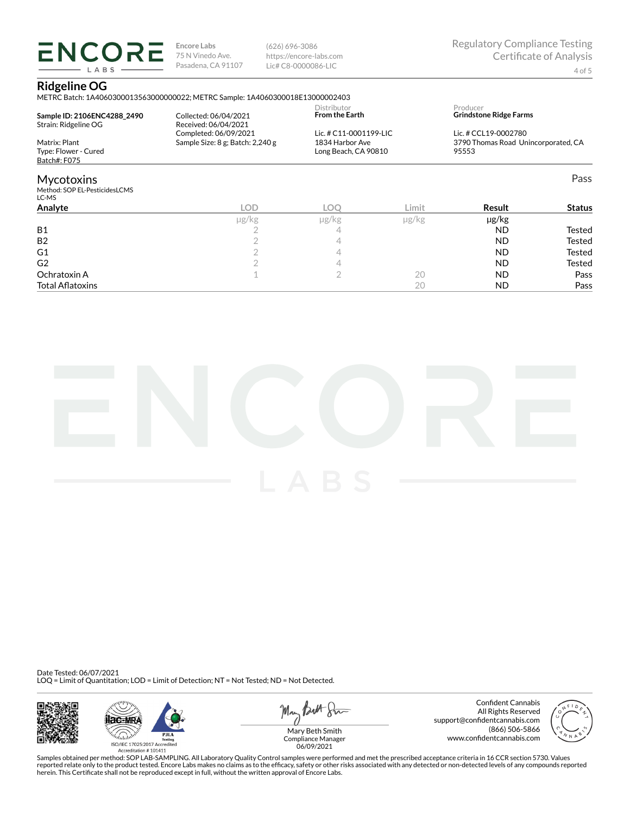(626) 696-3086 https://encore-labs.com Lic# C8-0000086-LIC

## **Ridgeline OG**

**ENCORE** LABS

METRC Batch: 1A4060300013563000000022; METRC Sample: 1A4060300018E13000002403

| Sample ID: 2106ENC4288 2490<br>Strain: Ridgeline OG         | Collected: 06/04/2021<br>Received: 06/04/2021             | Distributor<br><b>From the Earth</b>                              |            | Producer<br><b>Grindstone Ridge Farms</b>                            |                            |
|-------------------------------------------------------------|-----------------------------------------------------------|-------------------------------------------------------------------|------------|----------------------------------------------------------------------|----------------------------|
| Matrix: Plant<br>Type: Flower - Cured<br>Batch#: F075       | Completed: 06/09/2021<br>Sample Size: 8 g; Batch: 2,240 g | Lic. # C11-0001199-LIC<br>1834 Harbor Ave<br>Long Beach, CA 90810 |            | Lic. # CCL19-0002780<br>3790 Thomas Road Unincorporated, CA<br>95553 |                            |
| <b>Mycotoxins</b><br>Method: SOP EL-PesticidesLCMS<br>LC-MS |                                                           |                                                                   |            |                                                                      | Pass                       |
| Analyte                                                     | LOD                                                       | LOO                                                               | Limit      | Result                                                               | <b>Status</b>              |
| <b>B1</b><br><b>B2</b><br>G1                                | µg/kg                                                     | µg/kg<br>4<br>4                                                   | $\mu$ g/kg | $\mu$ g/kg<br><b>ND</b><br><b>ND</b><br><b>ND</b>                    | Tested<br>Tested<br>Tested |

 $\begin{array}{cccccccccccccc} \textsf{G2} & & & & 2 & & & 4 & & & & & \textsf{ND} & & & \textsf{Tested} \end{array}$ Ochratoxin A  $\qquad \qquad \qquad 1$   $\qquad \qquad 2$   $\qquad \qquad 20$   $\qquad \qquad \textsf{ND}$  Pass Total Aatoxins 20 ND Pass



Date Tested: 06/07/2021 LOQ = Limit of Quantitation; LOD = Limit of Detection; NT = Not Tested; ND = Not Detected.







Confident Cannabis All Rights Reserved support@confidentcannabis.com (866) 506-5866 www.confidentcannabis.com



Mary Beth Smith Compliance Manager 06/09/2021

Samples obtained per method: SOP LAB-SAMPLING. All Laboratory Quality Control samples were performed and met the prescribed acceptance criteria in 16 CCR section 5730. Values reported relate only to the product tested. Encore Labs makes no claims as to the efficacy, safety or other risks associated with any detected or non-detected levels of any compounds reported<br>herein. This Certificate shall